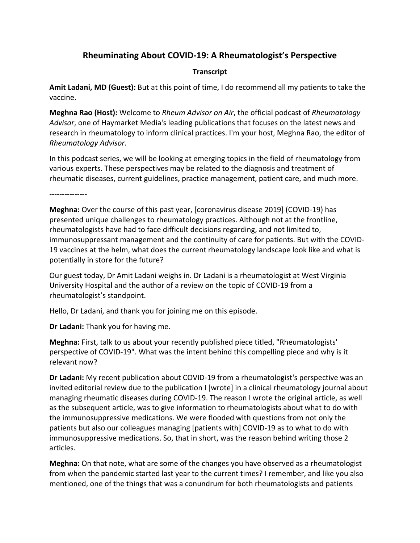## **Rheuminating About COVID-19: A Rheumatologist's Perspective**

## **Transcript**

**Amit Ladani, MD (Guest):** But at this point of time, I do recommend all my patients to take the vaccine.

**Meghna Rao (Host):** Welcome to *Rheum Advisor on Air*, the official podcast of *Rheumatology Advisor*, one of Haymarket Media's leading publications that focuses on the latest news and research in rheumatology to inform clinical practices. I'm your host, Meghna Rao, the editor of *Rheumatology Advisor*.

In this podcast series, we will be looking at emerging topics in the field of rheumatology from various experts. These perspectives may be related to the diagnosis and treatment of rheumatic diseases, current guidelines, practice management, patient care, and much more.

---------------

**Meghna:** Over the course of this past year, [coronavirus disease 2019] (COVID-19) has presented unique challenges to rheumatology practices. Although not at the frontline, rheumatologists have had to face difficult decisions regarding, and not limited to, immunosuppressant management and the continuity of care for patients. But with the COVID-19 vaccines at the helm, what does the current rheumatology landscape look like and what is potentially in store for the future?

Our guest today, Dr Amit Ladani weighs in. Dr Ladani is a rheumatologist at West Virginia University Hospital and the author of a review on the topic of COVID-19 from a rheumatologist's standpoint.

Hello, Dr Ladani, and thank you for joining me on this episode.

**Dr Ladani:** Thank you for having me.

**Meghna:** First, talk to us about your recently published piece titled, "Rheumatologists' perspective of COVID-19". What was the intent behind this compelling piece and why is it relevant now?

**Dr Ladani:** My recent publication about COVID-19 from a rheumatologist's perspective was an invited editorial review due to the publication I [wrote] in a clinical rheumatology journal about managing rheumatic diseases during COVID-19. The reason I wrote the original article, as well as the subsequent article, was to give information to rheumatologists about what to do with the immunosuppressive medications. We were flooded with questions from not only the patients but also our colleagues managing [patients with] COVID-19 as to what to do with immunosuppressive medications. So, that in short, was the reason behind writing those 2 articles.

**Meghna:** On that note, what are some of the changes you have observed as a rheumatologist from when the pandemic started last year to the current times? I remember, and like you also mentioned, one of the things that was a conundrum for both rheumatologists and patients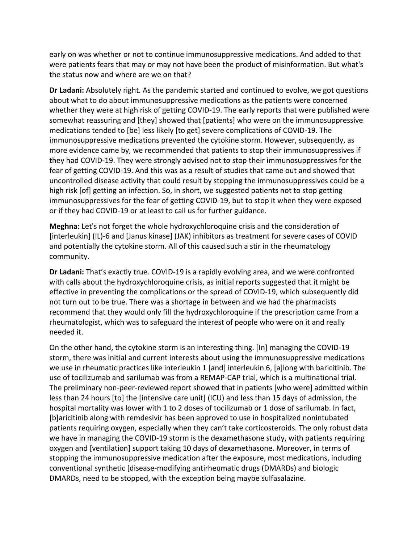early on was whether or not to continue immunosuppressive medications. And added to that were patients fears that may or may not have been the product of misinformation. But what's the status now and where are we on that?

**Dr Ladani:** Absolutely right. As the pandemic started and continued to evolve, we got questions about what to do about immunosuppressive medications as the patients were concerned whether they were at high risk of getting COVID-19. The early reports that were published were somewhat reassuring and [they] showed that [patients] who were on the immunosuppressive medications tended to [be] less likely [to get] severe complications of COVID-19. The immunosuppressive medications prevented the cytokine storm. However, subsequently, as more evidence came by, we recommended that patients to stop their immunosuppressives if they had COVID-19. They were strongly advised not to stop their immunosuppressives for the fear of getting COVID-19. And this was as a result of studies that came out and showed that uncontrolled disease activity that could result by stopping the immunosuppressives could be a high risk [of] getting an infection. So, in short, we suggested patients not to stop getting immunosuppressives for the fear of getting COVID-19, but to stop it when they were exposed or if they had COVID-19 or at least to call us for further guidance.

**Meghna:** Let's not forget the whole hydroxychloroquine crisis and the consideration of [interleukin] (IL)-6 and [Janus kinase] (JAK) inhibitors as treatment for severe cases of COVID and potentially the cytokine storm. All of this caused such a stir in the rheumatology community.

**Dr Ladani:** That's exactly true. COVID-19 is a rapidly evolving area, and we were confronted with calls about the hydroxychloroquine crisis, as initial reports suggested that it might be effective in preventing the complications or the spread of COVID-19, which subsequently did not turn out to be true. There was a shortage in between and we had the pharmacists recommend that they would only fill the hydroxychloroquine if the prescription came from a rheumatologist, which was to safeguard the interest of people who were on it and really needed it.

On the other hand, the cytokine storm is an interesting thing. [In] managing the COVID-19 storm, there was initial and current interests about using the immunosuppressive medications we use in rheumatic practices like interleukin 1 [and] interleukin 6, [a]long with baricitinib. The use of tocilizumab and sarilumab was from a REMAP-CAP trial, which is a multinational trial. The preliminary non-peer-reviewed report showed that in patients [who were] admitted within less than 24 hours [to] the [intensive care unit] (ICU) and less than 15 days of admission, the hospital mortality was lower with 1 to 2 doses of tocilizumab or 1 dose of sarilumab. In fact, [b]aricitinib along with remdesivir has been approved to use in hospitalized nonintubated patients requiring oxygen, especially when they can't take corticosteroids. The only robust data we have in managing the COVID-19 storm is the dexamethasone study, with patients requiring oxygen and [ventilation] support taking 10 days of dexamethasone. Moreover, in terms of stopping the immunosuppressive medication after the exposure, most medications, including conventional synthetic [disease-modifying antirheumatic drugs (DMARDs) and biologic DMARDs, need to be stopped, with the exception being maybe sulfasalazine.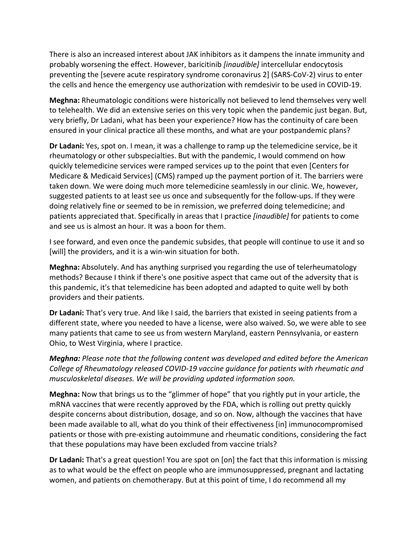There is also an increased interest about JAK inhibitors as it dampens the innate immunity and probably worsening the effect. However, baricitinib *[inaudible]* intercellular endocytosis preventing the [severe acute respiratory syndrome coronavirus 2] (SARS-CoV-2) virus to enter the cells and hence the emergency use authorization with remdesivir to be used in COVID-19.

**Meghna:** Rheumatologic conditions were historically not believed to lend themselves very well to telehealth. We did an extensive series on this very topic when the pandemic just began. But, very briefly, Dr Ladani, what has been your experience? How has the continuity of care been ensured in your clinical practice all these months, and what are your postpandemic plans?

**Dr Ladani:** Yes, spot on. I mean, it was a challenge to ramp up the telemedicine service, be it rheumatology or other subspecialties. But with the pandemic, I would commend on how quickly telemedicine services were ramped services up to the point that even [Centers for Medicare & Medicaid Services] (CMS) ramped up the payment portion of it. The barriers were taken down. We were doing much more telemedicine seamlessly in our clinic. We, however, suggested patients to at least see us once and subsequently for the follow-ups. If they were doing relatively fine or seemed to be in remission, we preferred doing telemedicine; and patients appreciated that. Specifically in areas that I practice *[inaudible]* for patients to come and see us is almost an hour. It was a boon for them.

I see forward, and even once the pandemic subsides, that people will continue to use it and so [will] the providers, and it is a win-win situation for both.

**Meghna:** Absolutely. And has anything surprised you regarding the use of telerheumatology methods? Because I think if there's one positive aspect that came out of the adversity that is this pandemic, it's that telemedicine has been adopted and adapted to quite well by both providers and their patients.

**Dr Ladani:** That's very true. And like I said, the barriers that existed in seeing patients from a different state, where you needed to have a license, were also waived. So, we were able to see many patients that came to see us from western Maryland, eastern Pennsylvania, or eastern Ohio, to West Virginia, where I practice.

*Meghna: Please note that the following content was developed and edited before the American College of Rheumatology released COVID-19 vaccine guidance for patients with rheumatic and musculoskeletal diseases. We will be providing updated information soon.*

**Meghna:** Now that brings us to the "glimmer of hope" that you rightly put in your article, the mRNA vaccines that were recently approved by the FDA, which is rolling out pretty quickly despite concerns about distribution, dosage, and so on. Now, although the vaccines that have been made available to all, what do you think of their effectiveness [in] immunocompromised patients or those with pre-existing autoimmune and rheumatic conditions, considering the fact that these populations may have been excluded from vaccine trials?

**Dr Ladani:** That's a great question! You are spot on [on] the fact that this information is missing as to what would be the effect on people who are immunosuppressed, pregnant and lactating women, and patients on chemotherapy. But at this point of time, I do recommend all my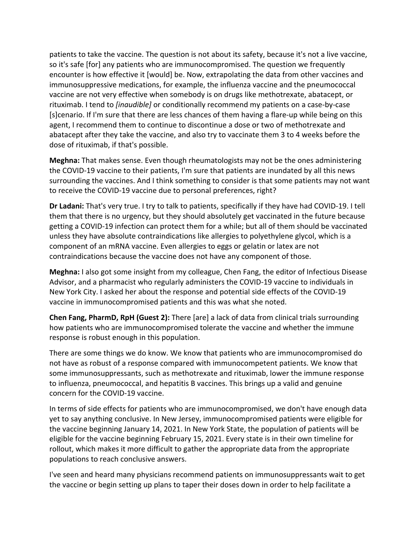patients to take the vaccine. The question is not about its safety, because it's not a live vaccine, so it's safe [for] any patients who are immunocompromised. The question we frequently encounter is how effective it [would] be. Now, extrapolating the data from other vaccines and immunosuppressive medications, for example, the influenza vaccine and the pneumococcal vaccine are not very effective when somebody is on drugs like methotrexate, abatacept, or rituximab. I tend to *[inaudible]* or conditionally recommend my patients on a case-by-case [s]cenario. If I'm sure that there are less chances of them having a flare-up while being on this agent, I recommend them to continue to discontinue a dose or two of methotrexate and abatacept after they take the vaccine, and also try to vaccinate them 3 to 4 weeks before the dose of rituximab, if that's possible.

**Meghna:** That makes sense. Even though rheumatologists may not be the ones administering the COVID-19 vaccine to their patients, I'm sure that patients are inundated by all this news surrounding the vaccines. And I think something to consider is that some patients may not want to receive the COVID-19 vaccine due to personal preferences, right?

**Dr Ladani:** That's very true. I try to talk to patients, specifically if they have had COVID-19. I tell them that there is no urgency, but they should absolutely get vaccinated in the future because getting a COVID-19 infection can protect them for a while; but all of them should be vaccinated unless they have absolute contraindications like allergies to polyethylene glycol, which is a component of an mRNA vaccine. Even allergies to eggs or gelatin or latex are not contraindications because the vaccine does not have any component of those.

**Meghna:** I also got some insight from my colleague, Chen Fang, the editor of Infectious Disease Advisor, and a pharmacist who regularly administers the COVID-19 vaccine to individuals in New York City. I asked her about the response and potential side effects of the COVID-19 vaccine in immunocompromised patients and this was what she noted.

**Chen Fang, PharmD, RpH (Guest 2):** There [are] a lack of data from clinical trials surrounding how patients who are immunocompromised tolerate the vaccine and whether the immune response is robust enough in this population.

There are some things we do know. We know that patients who are immunocompromised do not have as robust of a response compared with immunocompetent patients. We know that some immunosuppressants, such as methotrexate and rituximab, lower the immune response to influenza, pneumococcal, and hepatitis B vaccines. This brings up a valid and genuine concern for the COVID-19 vaccine.

In terms of side effects for patients who are immunocompromised, we don't have enough data yet to say anything conclusive. In New Jersey, immunocompromised patients were eligible for the vaccine beginning January 14, 2021. In New York State, the population of patients will be eligible for the vaccine beginning February 15, 2021. Every state is in their own timeline for rollout, which makes it more difficult to gather the appropriate data from the appropriate populations to reach conclusive answers.

I've seen and heard many physicians recommend patients on immunosuppressants wait to get the vaccine or begin setting up plans to taper their doses down in order to help facilitate a